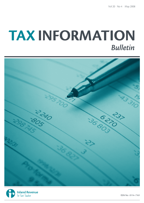# TAX INFORMATION **Bulletin**





ISSN No : 0114–7161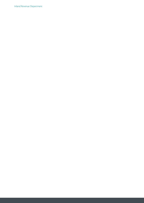Inland Revenue Department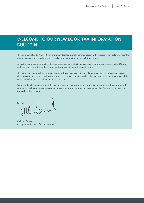# **Welcome to our new look Tax Information Bulletin**

The *Tax Information Bulletin (TIB)* is our primary tool for formally communicating with taxpayers, particularly in regard to pronouncements and developments in tax law and information on specialist tax topics.

As part of our ongoing commitment to providing quality products we have made some improvements to the *TIB* which we believe will make it easier for you to find the information most relevant to you.

This is the first issue which incorporates our new design. We have introduced a summary page to provide an overview of each section of the *TIB* as well as provide an easy reference point. Tabs have been placed on the right-hand side of the pages to quickly and easily differentiate each section.

We know the *TIB* is an important information source for many of you. We would like to know your thoughts about the new look as well as any suggestions you may have about other improvements we can make. Please send them to us at **tibdatabase@ird.govt.nz**

llenlund Regards,

Colin McDonald Acting Commissioner of Inland Revenue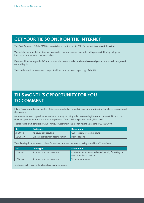# **Get your TIB sooner on the internet**

This *Tax Information Bulletin (TIB)* is also available on the internet in PDF. Our website is at **www.ird.govt.nz**

The website has other Inland Revenue information that you may find useful, including any draft binding rulings and interpretation statements that are available.

If you would prefer to get the *TIB* from our website, please email us at **tibdatabase@ird.govt.nz** and we will take you off our mailing list.

You can also email us to advise a change of address or to request a paper copy of the *TIB*.

# **THIS MONTH'S OPPORTUNITY FOR YOU TO COMMENT**

Inland Revenue produces a number of statements and rulings aimed at explaining how taxation law affects taxpayers and their agents.

Because we are keen to produce items that accurately and fairly reflect taxation legislation, and are useful in practical situations, your input into the process – as perhaps a "user" of that legislation – is highly valued.

The following draft items are available for review/comment this month, having a deadline of 30 May 2008.

| Ref.     | Draft type                         | <b>Description</b>             |
|----------|------------------------------------|--------------------------------|
| XPB0032  | Re-issued public ruling            | GST – Supply of leasehold land |
| IDDG0139 | General depreciation determination | Plant supports                 |

The following draft items are available for review/comment this month, having a deadline of 6 June 2008.

| $\vert$ Ref. | Draft type                  | <b>Description</b>                                                                      |
|--------------|-----------------------------|-----------------------------------------------------------------------------------------|
| ED00102      | Standard practice statement | Discretion to not assess a shortfall penalty for taking an<br>unacceptable tax position |
| ED00103      | Standard practice statement | Voluntary disclosure                                                                    |

See inside back cover for details on how to obtain a copy.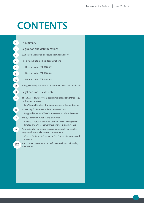# **CONTENTS**

| 3                       | In summary                                                                                                     |
|-------------------------|----------------------------------------------------------------------------------------------------------------|
| 4                       | Legislation and determinations                                                                                 |
| 4                       | 2008 International tax disclosure exemption ITR19                                                              |
| 8                       | Fair dividend rate method determinations                                                                       |
| 8                       | Determination FDR 2008/07                                                                                      |
| 9                       | Determination FDR 2008/08                                                                                      |
| 10                      | Determination FDR 2008/09                                                                                      |
| 12                      | Foreign currency amounts - conversion to New Zealand dollars                                                   |
| 19                      | Legal decisions - case notes                                                                                   |
| 19                      | Tax advisor's statutory non-disclosure right narrower than legal<br>professional privilege                     |
|                         | Iain Wilson Blakeley v The Commissioner of Inland Revenue                                                      |
| 20                      | A deed of gift of money and declaration of trust                                                               |
|                         | Begg and Jacksons v The Commissioner of Inland Revenue                                                         |
| 20                      | Trinity Supreme Court hearing adjourned                                                                        |
|                         | Ben Nevis Forestry Ventures Limited, Accent Management<br>Limited and Ors v The Commissioner of Inland Revenue |
| 21                      | Application to represent a taxpayer company by virtue of a<br>long-standing association with the company       |
|                         | Central Equipment Company v The Commissioner of Inland<br>Revenue                                              |
| Inside<br>back<br>cover | Your chance to comment on draft taxation items before they<br>are finalised                                    |
|                         |                                                                                                                |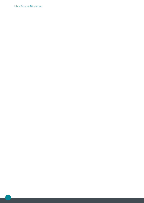Inland Revenue Department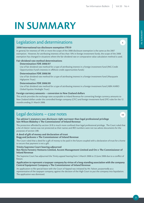# **IN SUMMARY**

# Legislation and determinations

#### **2008 International tax disclosure exemption ITR19**

In general, for interests of 10% or more the scope of the 2008 disclosure exemption is the same as the 2007 exemption. However, for attributing interests of less than 10% in foreign investment funds, the scope of the 2008 exemption has changed in situations where the fair dividend rate or comparative value calculation method is used.

### **Fair dividend rate method determinations**

#### **Determination FDR 2008/07**

Use of fair dividend rate method for a type of attributing interest in a foreign investment fund (ING Credit Opportunities Fund's interests in offshore credit opportunities funds)

### **Determination FDR 2008/08**

Use of fair dividend rate method for a type of attributing interest in a foreign investment fund (Macquarie Highpoint Trust)

### **Determination FDR 2008/09**

Use of fair dividend rate method for a type of attributing interest in a foreign investment fund (ABN AMRO Global Equities Hindsight Trust)

## **Foreign currency amounts – conversion to New Zealand dollars**

This article provides the exchange rates acceptable to Inland Revenue for converting foreign currency amounts to New Zealand dollars under the controlled foreign company (CFC) and foreign investment fund (FIF) rules for the 12 months ending 31 March 2008.

# Legal decisions – case notes

#### **Tax advisor's statutory non-disclosure right narrower than legal professional privilege Iain Wilson Blakeley v The Commissioner of Inland Revenue**

The protection afforded by section 20 B is much more confined than legal professional privilege. The Court ruled that a list of clients' names was not protected as their names and IRD numbers were not tax advice documents for the purposes of section 20B.

#### **A deed of gift of money and declaration of trust Begg and Jacksons v The Commissioner of Inland Revenue**

The Court ruled that a deed for a gift of money to be paid in the future coupled with a declaration of trust for a home to secure that payment is not a gift.

#### **Trinity Supreme Court hearing adjourned**

**Ben Nevis Forestry Ventures Limited, Accent Management Limited and Ors v The Commissioner of Inland Revenue**

The Supreme Court has adjourned the Trinity appeal hearing from 3 March 2008 to 23 June 2008 due to a conflict of fixture.

#### **Application to represent a taxpayer company by virtue of a long-standing association with the company Central Equipment Company v The Commissioner of Inland Revenue**

An application to file special leave with the Court of Appeal was initiated by Mr. Faloon, purportedly as a representative of the taxpayer company, against the decision of the High Court to put the company into liquidation. The application was dismissed.

**4**

**19**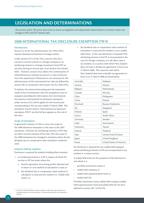# **LEGISLATION AND DETERMINATIONS**

This section of the *TIB* covers items such as recent tax legislation and depreciation determinations, livestock values and changes in FBT and GST interest rates.

# 2008 International Tax Disclosure Exemption ITR19

#### Introduction

Section 61 of the Tax Administration Act 1994 (TAA) requires disclosure of interests in foreign entities.

Under section 61(1) of the TAA, a person who has a control or income interest in a foreign company or an attributing interest in a foreign investment fund (FIF) at any time during an income year must disclose the interest held<sup>1</sup>. However, section 61(2) allows the Commissioner of Inland Revenue to exempt any person or class of persons from this requirement if disclosure is not necessary for the administration of the international tax rules (as defined by section OB 1) contained in the Income Tax Act 2004 (ITA).

To balance the revenue forecasting and risk assessment needs of the Commissioner with the compliance costs of taxpayers providing the information, the Commissioner has issued an international tax disclosure exemption under section 61(2) which applies for the income year corresponding to the tax year ended 31 March 2008. This exemption may be cited as "International tax disclosure exemption ITR19" and the full text appears at the end of this item.

#### Scope of exemption

In general for interests of 10% or more, the scope of the 2008 disclosure exemption is the same as the 2007 exemption. However, for attributing interests in FIFs that are direct income interests of less than 10%, the scope of the 2008 exemption has changed in situations where the fair dividend rate or comparative value calculation method is used.

#### Interests held by residents

Disclosure is required by residents holding these interests:

- 1. an attributing interest in a FIF in respect of which FIF income or FIF loss arises where the :
	- a. branch equivalent, accounting profits, deemed rate of return or cost method of calculation is used, or
	- b. fair dividend rate or comparative value method of calculation is used and the resident is a "widely held entity", or

c. fair dividend rate or comparative value method of calculation is used and the resident is not a widely held entity. In this case disclosure is required if the attributing interest in the FIF is incorporated in the case of a foreign company, or in all other cases is tax resident, in a country with which New Zealand does not have a double tax agreement in force as at 31 March 2008. The countries with which New Zealand does have a double tax agreement in force as at 31 March 2008 are listed below.

| Australia | Malaysia                    |
|-----------|-----------------------------|
| Austria   | Mexico                      |
| Belgium   | Netherlands                 |
| Canada    | Norway                      |
| Chile     | Philippines                 |
| China     | Poland                      |
| Denmark   | <b>Russian Federation</b>   |
| Fiji      | Singapore                   |
| Finland   | Spain                       |
| France    | South Africa                |
| Germany   | Sweden                      |
| India     | Switzerland                 |
| Indonesia | Taiwan                      |
| Ireland   | Thailand                    |
| Italy     | <b>United Arab Emirates</b> |
| Japan     | United Kingdom              |
| Korea     | United States of America    |

No disclosure is required by non-widely held taxpayers whose attributing interests in FIFs are incorporated or tax resident in a treaty country.

A widely held entity for the purposes of this disclosure is one which is a:

- portfolio investment entity, or
- widely held company, or
- widely held superannuation fund, or
- • widely held GIF.

Portfolio investment entity, widely held company, widely held superannuation fund and widely held GIF are all as defined in section OB 1 of the ITA.

<sup>1</sup> In the case of partnerships, however, disclosure will need to be made by the individual partners in the partnership. The partnership itself is not required to disclose.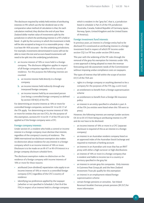The disclosure required by widely held entities of attributing interests in FIFs which use the fair dividend rate or the comparative value method of calculation is that, for each calculation method, they disclose the end-of-year New Zealand dollar market value of investments split by the jurisdiction in which the attributing interest in a FIF is held or listed. A split by the currency in which the investment is held, will be also accepted as long as it is a reasonable proxy – that is at least 90–95% accurate – for the underlying jurisdictions. For example, investments denominated in euros will not be able to meet this test and so euro-based investments will need to be split into the underlying jurisdictions.

- 2. an income interest of 10% or more held in a foreign company. The disclosure obligation applies in respect of all foreign companies regardless of the country of residence. For this purpose the following interests are counted:
	- a. an income interest held directly in a foreign company
	- b. an income interest held indirectly through any interposed foreign company
	- c. an income interest held by an associated person (not being a controlled foreign company) as defined by section OD 8(3) of the ITA.

For determining an income interest at 10% or more for controlled foreign companies, sections EX 14 to EX 17 of the ITA apply. For determining an income interest of 10% or more for entities that are not CFCs, for the purpose of this exemption, sections EX 14 to EX 17 of the ITA are to be applied as if the foreign company were a CFC.

#### Foreign company interests

Under section 61, a resident who holds a control or income interest in a foreign company must disclose that interest, regardless of the company's country of residence. The 2008 international tax disclosure exemption also makes no distinction about residence for any interest in a foreign company which is an income interest of 10% or more. Disclosure is to be made on an IR 477 or IR 479 *Interest in a foreign company disclosure schedule* form.

The disclosure exemption makes no distinction on the residence of a foreign company with income interests of 10% or more for these reasons:

- attributed (non-dividend) repatriation rules apply to an income interest of 10% or more in a controlled foreign company (CFC) regardless of the CFC's country of residence
- identifying tax preferences applied by the taxpayer (whether or not specified in Schedule 3, Part B of the ITA) in respect of an interest held in a foreign company

which is resident in the "grey list", that is, a jurisdiction listed in schedule 3, Part A of the ITA jurisdiction (Australia, Canada, Federal Republic of Germany, Japan, Norway, Spain, United Kingdom and the United States of America).

#### Foreign investment fund interests

In previous years, an interest in a foreign entity had to be disclosed if it constituted an attributing interest in a foreign investment fund in respect of which FIF income under section CQ 5 or FIF loss under section DN 6 arose.

This year with the widening of the FIF rules through the removal of the grey-list exemption for interests under 10%, a new approach is being adopted to meet the revenue forecasting and risk assessment needs of the Commissioner without imposing undue compliance costs on taxpayers.

The types of interest that fall within the scope of section 61(1) of the TAA are:

- rights in a foreign company or anything deemed to be a company for the purposes of the ITA (eg, a unit trust)
- an entitlement to benefit from a foreign superannuation scheme
- an entitlement to benefit from a foreign life insurance policy
- an interest in an entity specified in schedule 4, part A of the ITA (no entities were listed when this *TIB* went to press).

However, the following interests are exempt (under sections EX 32 to EX 37) from being an attributing interest in a FIF and do not have to be disclosed:

- an income interest of 10% or more in a CFC (separate disclosure is required of this as an interest in a foreign company)
- an interest in an Australian resident company listed on an approved index of the Australian Stock Exchange and required to maintain a franking account
- an interest in an Australian unit trust that has an RWT proxy with either a high turnover or high distributions
- an interest of 10% or more in a foreign company that is resident and liable to income tax in a country or territory specified in the grey list
- an interest in certain grey-list companies. Only interests in Guinness Peat Group plc and the New Zealand Investment Trust plc qualify for this exemption
- an interest in an employment-related foreign superannuation scheme
- • certain foreign pensions or annuities. See Inland Revenue's booklet *Overseas private pensions* (IR 257) for more information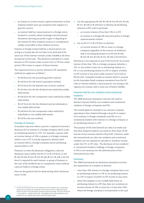- an interest in certain venture capital investments in New Zealand resident start-up companies that migrate to a grey-list country
- an interest held by a natural person in a foreign entity located in a country where exchange controls prevent the person deriving any profit or gain or disposing of the interest for New Zealand currency or consideration readily convertible to New Zealand currency.

Interests in foreign entities held by a natural person not acting as a trustee also do not have to be disclosed if the total cost of the interests remains under \$50,000 at all times during the income year. This disclosure exemption is made because no FIF income under section CQ 5 or FIF loss under section DN 6 arises in respect of these interests.

The respective forms to use for whichever FIF calculation method you apply are as follows:<sup>2</sup>

- IR 439 form for the accounting profits method
- IR 440 form for the branch equivalent method
- IR 443 form for the deemed rate of return method
- IR 445 form for the fair dividend rate method by widely held entities
- IR 446 form for the comparative value method by widely held entities
- • IR 447 form for the fair dividend rate by individuals or non-widely held entities
- IR 448 form for the comparative value method by individuals or non-widely held entities
- IR 449 for the cost method.

#### Overlap of interests

A situation may arise where a person is required to furnish a disclosure for an interest in a foreign company which is also an attributing interest in a FIF. For example, a person with an income interest of 10% or greater in a foreign company which is not a CFC is strictly required to disclose both an interest held in a foreign company and an attributing interest held in a FIF.

However, to meet the disclosure obligations, only one disclosure return (either the IR 477 or IR 479 form, or the IR 439, IR 440, IR 443, IR 445, IR 446, IR 447, IR 448 or IR 449 form) is required for each interest, or group of interests in the case of fair dividend rate or comparative value method, a person holds in a foreign entity.

Here are the general rules for determining which disclosure return to file:

- 1. Use the appropriate IR 439, IR 440, IR 443, IR 445, IR 446, IR 447, IR 448 or IR 449 form to disclose all attributing interests in FIFs, and in particular:
	- • an income interest of less than 10% in a CFC
	- an interest in a foreign life insurance policy or foreign superannuation scheme
- 2. Use an IR 477 or IR 479 form to disclose:
	- an income interest of 10% or more in a foreign company (regardless of the country of residence) that is not being disclosed on an IR 439, IR 440, IR 443, IR 445, IR 446, IR 447, IR 448 or IR 449 form.

Disclosure is not required on any of the forms for an income interest of less than 10% in a foreign company (whether a CFC or not) which is also not an attributing interest in a FIF or is an attributing interest in a FIF in respect of which no FIF income or loss arises under sections CQ 5(1)(d) or DN 6(1)(d). Examples include an interest which is covered by the Australian listed company exemption from the FIF rules or interests held by a natural person, not acting in the capacity of a trustee, with a total cost of below \$50,000.

#### Interests held by non-residents and transitional residents

The 2008 disclosure exemption removes the need to disclose interests held by non-residents and transitional residents in foreign companies and FIFs.

This would apply for example to an overseas company operating in New Zealand (through a branch) in respect of its interests in foreign companies and FIFs or to a transitional resident with interests in a foreign company or an attributing interest in a FIF.

The purpose of the international tax rules is to make sure that New Zealand residents are taxed on their share of the income of any overseas interests they hold. However, under the international tax rules non-residents and transitional residents are not required to calculate or attribute income under the CFC or FIF rules. The disclosure of non-residents' or transitional residents' holdings in foreign companies or FIFs is not necessary for the administration of the international tax rules.

#### Summary

The 2008 international tax disclosure exemption removes the requirement of a resident to disclose:

- a less than 10% interest in a foreign company that is not an attributing interest in a FIF or an attributing interest in a FIF in respect of which no FIF income or loss arises
- where the taxpayer is not a widely held entity, an attributing interest in a FIF that does not constitute an income interest of 10% or more (ie, it is less than 10%) where the foreign company is incorporated, in the case

<sup>2</sup> In the case of forms IR 445 to 449 relating to the fair dividend rate, comparative value and cost method of calculation, the intention is that in subsequent years section 35 of the TAA will require mandatory electronic filing. This year the IR 449 – cost method – and IR 447 and 448 – fair dividend rate and comparative value methods for non-widely held entities will still be paper based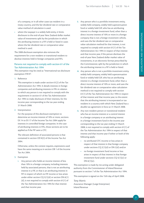of a company, or in all other cases tax resident in a treaty country, and the fair dividend rate or comparative value method of calculation is used.

where the taxpayer is a widely held entity, it limits disclosure to the end-of-year New Zealand dollar market value of investments split by the jurisdiction in which the attributing interest in a FIF is held or listed in cases where the fair dividend rate or comparative value method is used.

The 2008 disclosure exemption also removes the requirement for a non-resident or transitional resident to disclose interests held in foreign companies and FIFs.

#### Persons not required to comply with section 61 of the Tax Administration Act 1994

This exemption may be cited as "International tax disclosure exemption ITR19".

1. Reference

This exemption is made under section 61(2) of the Tax Administration Act 1994. It details interests in foreign companies and attributing interests in FIFs in relation to which any person is not required to comply with the requirement in section 61 of the Tax Administration Act 1994 to make disclosure of their interests, for the income year corresponding to the tax year ending 31 March 2008.

2. Interpretation

For the purpose of this disclosure exemption to determine an income interest of 10% or more, sections EX 14 to EX 17 of the Income Tax Act 2004 apply for interests in controlled foreign companies. In the case of attributing interests in FIFs, those sections are to be applied as if the FIF were a CFC.

The relevant definition of associated persons is that contained in section OD 8(3) of the Income Tax Act 2004.

Otherwise, unless the context requires, expressions used have the same meaning as in section OB 1 of the Income Tax Act 2004.

- 3. Exemption
	- i. Any person who holds an income interest of less than 10% in a foreign company, including interests held by associated persons, that is not an attributing interest in a FIF, or that is an attributing interest in FIF in respect of which no FIF income or loss arises under either section CQ 5(1)(d) or section DN 6(1) (d), is not required to comply with section 61(1) of the Tax Administration Act 1994 for that interest and that income year.
- ii. Any person who is a portfolio investment entity, widely held company, widely held superannuation fund or widely held GIF, who has an attributing interest in a foreign investment fund, other than a direct income interest of 10% or more in a foreign company that is not a foreign investment vehicle, and uses the fair dividend rate or comparative value calculation method for that interest, is not required to comply with section 61(1) of the Tax Administration Act 1994 in respect of that interest and that income year, if the person discloses the end-of-year New Zealand dollar market value of investments, in an electronic format prescribed by the Commissioner, split by the jurisdiction in which the attributing interest in a FIF is held or listed.
- iii. Any person who is not a portfolio investment entity, widely held company, widely held superannuation fund or widely held GIF, who has an attributing interest in a foreign investment fund, other than a direct income interest of 10% or more, and uses the fair dividend rate or comparative value calculation method is not required to comply with section 61(1) of the Tax Administration Act 1994 in respect of that interest and that income year, to the extent that the attributing interest is incorporated or tax resident in a country with which New Zealand has a double tax agreement in force at 31 March 2008.
- iv. Any non-resident person or transitional resident who has an income interest or a control interest in a foreign company or an attributing interest in a foreign investment fund in the income year corresponding to the tax year ending 31 March 2008, is not required to comply with section 61(1) of the Tax Administration Act 1994 in respect of that interest and that income year if either or both of the following apply:
	- no attributed CFC income or loss arises in respect of that interest in that foreign company under sections CQ 2(1)(d) or DN 2(d) and/or
	- no foreign investment fund income or loss arises in respect of that interest in that foreign investment fund under sections CQ 5(1)(e) or DN 6(1)(e).

This exemption is made by me acting under delegated authority from the Commissioner of Inland Revenue pursuant to section 7 of the Tax Administration Act 1994.

This exemption is signed on the 15th day of April 2008.

*Tony Morris* Assurance Manager (Large Enterprises) Inland Revenue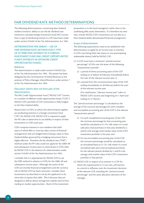# FAIR DIVIDEND RATE METHOD DETERMINATIONS

The following determinations, concerning New Zealand resident investors' ability to use the fair dividend rate method to calculate foreign investment fund (FIF) income from a type of attributing interest in a FIF, have been made under section 91AAO of the Tax Administration Act 1994.

#### DETERMINATION FDR 2008/07 – USE OF FAIR DIVIDEND RATE METHOD FOR A TYPE OF ATTRIBUTING INTEREST IN A FOREIGN INVESTMENT FUND (ING CREDIT OPPORTUNITIES FUND'S INTERESTS IN OFFSHORE CREDIT OPPORTUNITIES FUNDS)

#### Reference

This determination is made under section 91AAO(1)(a) of the Tax Administration Act 1994. This power has been delegated by the Commissioner of Inland Revenue to the position of Policy Manager, Inland Revenue, under section 7 of the Tax Administration Act 1994.

#### Discussion (which does not form part of the determination)

The ING Credit Opportunities Fund ("INGNZ COF") invests in a number of offshore credit opportunities funds ("COFs"). INGNZ COF's portfolio of COF investments is fully hedged to the New Zealand dollar.

Shares/units in COFs, to which this determination applies, are attributing interests in a foreign investment fund ("FIF") for INGNZ COF. INGNZ COF is required to apply the FIF rules to determine its tax liability in respect of their investments in COFs each year.

COFs comprise interests in non-residents that hold assets of which 80% or more by value consist of financial arrangements that are hedged items having a value in New Zealand dollars governed by a hedging instrument that is highly effective. Therefore the fair dividend rate ("FDR") method under the FIF rules could not apply for the 2008–09 and subsequent income years to units/shares in COFs held by INGNZ COF, in the absence of a determination under section 91AAO of the Tax Administration Act 1994.

I consider that it is appropriate for INGNZ COF to use the FDR method in relation to COFs for the 2008–09 and subsequent income years. Although the assets of the COFs are entirely financial arrangements and the currency risk to INGNZ COF has been removed, I consider these investments (as described to me by the applicant) to be more akin to equity than debt. This is because they are designed to deliver above-average but volatile returns from trading on market opportunities. Much of the investment

proposition is in the fund manager(s), rather than in the underlying debt assets themselves. It is therefore my view that, overall, INGNZ COF's investments are not akin to a New Zealand dollar denominated financial arrangement.

#### Scope of determination

The following requirements need to be satisfied for this determination to apply for an income year to interests in COFs (not being fixed rate shares or non-participating redeemable shares) held by INGNZ COF:

- (1) A COF must have a minimum "period turnover percentage" of 35% over the lesser of the following "measurement periods":
	- (i) a period of three accounting years of the COF ending on or before 28 February immediately before the start of the relevant income year; or
	- (ii) a period from the commencement date of the COF, ending immediately on 28 February before the start of the relevant income year.

(For clarification, "relevant income year" refers to INGNZ COF's income year beginning on 1 April and ending on 31 March.)

The "period turnover percentage" is calculated as the average of the turnover percentages for each complete and incomplete accounting year of the COF in the relevant "measurement period":

- (i) For each completed accounting year of the COF, the turnover percentage for that accounting year would be calculated as A / B x 100, where A is total sales plus total purchases in that year, divided by 2, and B is the average total market value of the COF's investment portfolio in the year; and
- (ii) For any incomplete accounting year of the COF, the turnover percentage would be calculated on an annualised basis as A / B x 100, where A is total annualised sales plus total annualised purchases for the relevant period, divided by 2, and B is the average total market value of the COF's investment portfolio in that period.
- (2) INGNZ COF, in respect of an interest in a COF for which the requirements in (1) are met, will exercise no control or influence over the investment decisions of the relevant COF, including the "period turnover percentage" and the asset allocation decisions of the manager.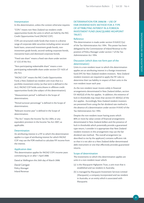## Interpretation

In this determination, unless the context otherwise requires:

"COFs" means non-New Zealand tax resident credit opportunities funds the units in which are held by the ING Credit Opportunities Fund (INGNZ COF).

COFs are structured credit funds that invest in a diverse range of corporate debt securities including senior secured bank loans, unsecured investment grade bonds, noninvestment grade bonds, second-ranking corporate bonds, mezzanine loans and distressed corporate bonds;

"Fixed rate share" means a fixed rate share under section LF 2(3) of the Act;

"Non-participating redeemable share" means a nonparticipating redeemable share under section CD 14(9) of the Act;

"INGNZ COF" means the ING Credit Opportunities Fund, a New Zealand tax-resident unit trust that is a portfolio investment entity (as that term is defined in the Act). INGNZ COF holds units/shares in offshore credit opportunities funds (the subject of this determination);

"Measurement period" is defined in the Scope of determination;

"Period turnover percentage" is defined in the Scope of determination;

"Relevant income year" is defined in the Scope of determination;

"The Act" means the Income Tax Act 2004, or any equivalent provision in the Income Tax Act 2007, as applicable.

#### **Determination**

An attributing interest in a FIF to which this determination applies is a type of attributing interest for which INGNZ COF may use the FDR method to calculate FIF income from the interest.

#### Application date

This determination applies for INGNZ COF's income years commencing on or after 1 April 2008.

Dated at Wellington this 26th day of March 2008.

*David Carrigan* Policy Manager Inland Revenue

### DETERMINATION FDR 2008/08 – USE OF FAIR DIVIDEND RATE METHOD FOR A TYPE OF ATTRIBUTING INTEREST IN A FOREIGN INVESTMENT FUND (MACQUARIE HIGHPOINT TRUST)

#### Reference

This determination is made under section 91AAO(1)(a) of the Tax Administration Act 1994. This power has been delegated by the Commissioner of Inland Revenue to the position of Policy Manager under section 7 of the Tax Administration Act 1994.

### Discussion (which does not form part of the determination)

Units in a non-resident issuer to which this determination applies are an attributing interest in a foreign investment fund (FIF) for New Zealand resident investors. New Zealand resident investors are required to apply the FIF rules to determine their tax liability in respect of their units in the non-resident issuer each year.

As the non-resident issuer invests solely in financial arrangements denominated in New Zealand dollars, section EX 40(9)(d) of the Act applies. In addition, the existence of lock in thresholds may mean that section EX 40(9)(e) of the Act applies. Accordingly, New Zealand resident investors are prevented from using the fair dividend rate method in the absence of a determination under section 91AAO of the Tax Administration Act 1994.

Despite the non-resident issuer having assets which 80% or more by value consist of financial arrangements denominated in New Zealand dollars and the presence of lock in thresholds which potentially provide a guaranteed type return, I consider it is appropriate that New Zealand resident investors in this arrangement may use the fair dividend rate method. The overall arrangement (as described to me by the applicant) contains sufficient risk so that it is not akin to a New Zealand dollar-denominated debt instrument or one that effectively provides guaranteed returns.

#### Scope of determination

The investments to which this determination applies are units in a non-resident issuer which:

- (a) is the Macquarie Highpoint Trust, a unit trust that is established and tax resident in Australia;
- (b) is managed by Macquarie Investment Services Limited (Macquarie), a company incorporated and tax resident in Australia, or an entity which is associated with Macquarie;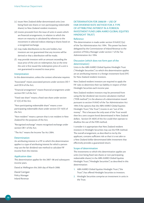- (c) issues New Zealand dollar-denominated units (not being fixed rate shares or non-participating redeemable shares) to New Zealand resident investors;
- (d) invests proceeds from the issue of units in assets which are financial arrangements, in relation to which the return on maturity is calculated by reference to the movement in selected indices relating to shares listed on a recognised exchange;
- (e) may make distributions to the unit holders, but investors are not guaranteed that any income will be derived or that a distribution will be made;
- (f) may provide investors with an amount exceeding the issue price of the unit on redemption, but at the time the unit is first issued the redemption price of a unit is not guaranteed to exceed its issue price.

#### Interpretation

In this determination, unless the context otherwise requires:

"Associated" means associated persons under sections OD 7 and OD 8 of the Act;

"Financial arrangement" means financial arrangement under section EW 3 of the Act;

"Fixed rate share" means a fixed rate share under section LF 2(3) of the Act;

"Non-participating redeemable share" means a nonparticipating redeemable share under section CD 14(9) of the Act;

"Non-resident" means a person that is not resident in New Zealand for the purposes of the Act;

"Recognised exchange" means recognised exchange under section OB 1 of the Act;

"The Act" means the Income Tax Act 2004.

#### Determination

An attributing interest in a FIF to which this determination applies is a type of attributing interest for which a person may use the fair dividend rate method to calculate FIF income from the interest.

#### Application date

This determination applies for the 2007–08 and subsequent income years.

Dated at Wellington this 26th day of March 2008.

*David Carrigan* Policy Manager Inland Revenue

#### DETERMINATION FDR 2008/09 – USE OF FAIR DIVIDEND RATE METHOD FOR A TYPE OF ATTRIBUTING INTEREST IN A FOREIGN INVESTMENT FUND (ABN AMRO GLOBAL EQUITIES HINDSIGHT TRUST)

#### Reference

This determination is made under section 91AAO(1)(a) of the Tax Administration Act 1994. This power has been delegated by the Commissioner of Inland Revenue to the position of Policy Manager under section 7 of the Tax Administration Act 1994.

#### Discussion (which does not form part of the determination)

Units in the ABN AMRO Global Equities Hindsight Trust ("Hindsight Securities") to which this determination applies are an attributing interest in a foreign investment fund (FIF) for New Zealand resident investors.

New Zealand resident investors are required to apply the FIF rules to determine their tax liability in respect of their Hindsight Securities each income year.

New Zealand resident investors may be prevented from using the fair dividend rate income calculation method ("FDR method") in the absence of a determination issued pursuant to section 91AAO of the Tax Administration Act 1994 if the options that the ABN AMRO Global Equities Hindsight Trust ("the Trust") invests in are "out of the money". This is because the only asset of the Trust would then be a zero coupon bond denominated in New Zealand dollars. Section EX 40(9) of the Act could then operate to disallow the use of the FDR method.

I consider it is appropriate that New Zealand resident investors in Hindsight Securities may use the FDR method. The overall arrangement, as described to me by the applicant, contains sufficient risk so that it is not akin to a New Zealand dollar-denominated debt investment that effectively provides a guaranteed return.

#### Scope of determination

The investments to which this determination applies are units (not being fixed rate shares or non-participating redeemable shares) in the ABN AMRO Global Equities Hindsight Trust ("Hindsight Securities") as described in this determination:

- 1. ABN AMRO Global Equities Hindsight Trust ("the Trust") has offered Hindsight Securities to investors.
- 2. Hindsight Securities comprise an investment in units in the Trust.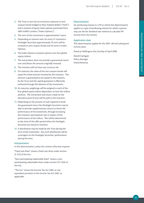- 3. The Trust in turn has an economic exposure to zero coupon bonds hedged to New Zealand dollars ("NZD") and a mixture of equity index options purchased from ABN AMRO London ("Index Options").
- 4. The term of the investment is approximately 5 years.
- 5. Depending on interest rates, for every \$1 invested in Hindsight Securities approximately 70 cents will be invested in zero coupon bonds and 30 cents in Index Options.
- 6. The Index Options comprise options over four global equity indices.
- 7. The end product does not provide a guaranteed return over and above the amount originally invested.
- 8. The investors will not bear any currency risk.
- 9. On maturity, the value of the zero coupon bonds will equal the initial amount invested by the investors. This amount is guaranteed to be repaid to the investors by the Trust and the capital guarantee is effectively achieved through this element of the investment.
- 10. At maturity, weightings will be assigned to each of the four global equity indices dependent on how the indices perform. The investment and return made on the derivative pool (if any) will be paid to the investors.
- 11. Depending on the amount of cash required to fund the guaranteed return the Hindsight Securities may be able to provide supplementary returns to boost the performance of the investment, through increasing the investors' participation rate in respect of the performance of the indices. This will be determined at the close of the offer period when the Hindsight Securities are issued to investors.
- 12. A distribution may be made by the Trust during the term of the investment. Any such distribution will be contingent on the Hindsight Securities' performance during the term.

#### Interpretation

In this determination, unless the context otherwise requires:

"Fixed rate share" means a fixed rate share under section LF 2(3) of the Act.

"Non-participating redeemable share" means a nonparticipating redeemable share under section CD 14(9) of the Act.

"The Act" means the Income Tax Act 2004, or any equivalent provision in the Income Tax Act 2007, as applicable.

#### **Determination**

An attributing interest in a FIF to which this determination applies is a type of attributing interest for which a person may use the fair dividend rate method to calculate FIF income from the interest.

#### Application date

This determination applies for the 2007–08 and subsequent income years.

Dated at Wellington this 2nd day of April 2008.

*David Carrigan* Policy Manager Inland Revenue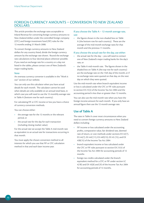# FOREIGN CURRENCY AMOUNTS – CONVERSION TO NEW ZEALAND **DOLLARS**

This article provides the exchange rates acceptable to Inland Revenue for converting foreign currency amounts to New Zealand dollars under the controlled foreign company (CFC) and foreign investment fund (FIF) rules for the 12 months ending 31 March 2008.

To convert foreign currency amounts to New Zealand dollars for any country listed, divide the foreign currency amount by the exchange rate shown. Round the exchange rate calculations to four decimal places wherever possible. If you need an exchange rate for a country or a day not listed in the tables, please contact one of New Zealand's major trading banks.

#### **Note**

An overseas currency converter is available in the "Work it out" section of our website.

You can only use this calculator when you have actual details for each month. The calculator cannot be used when details are only available on an annual total basis, in which case you will need to use the 12-monthly average rate in Table A (bottom row for each country).

For calculating FIF or CFC income or loss you have a choice of currency conversion methods.

You can choose either:

- • the average rate for the 12 months or the relevant period, or
- the actual rate for the day for each transaction (including closing market value).

For the actual rate we accept the Table A mid-month rate as equivalent to an actual rate for transactions occurring in that month.

You must apply the chosen conversion method to all interests for which you use that FIF or CFC calculation method in that and each later income year.

#### If you choose the Table A – 12-month average rate, use:

• the figures shown in the non-shaded box on Table A (the bottom row for each country). These are the average of the mid-month exchange rates for that month and the previous 11 months.

#### If you choose the actual rate for the day, use either:

- the actual rate for the day  $-$  you will need to contact one of New Zealand's major trading banks for the day's rate, or
- the Table A mid-month rate. The figures shown in the shaded box on Table A (the top row for each country) are the exchange rate on the 15th day of the month, or if no exchange rates were quoted on that day, on the next day on which they were quoted.

Use the mid-month rate when branch equivalent income or loss is calculated under the CFC or FIF rules pursuant to section EX 21(4) of the Income Tax Act 2004 and the accounting period is less than or greater than 12 months.

You can also use the mid-month rate when you have the foreign income amount for each month. If you only have an annual figure then use the 12-month average rate.

## **Use of Table A**

The rates in Table A cover most circumstances when you need to convert foreign currency amounts to New Zealand dollars including:

- FIF income or loss calculated under the accounting profits, comparative value, fair dividend rate, deemed rate of return, or cost methods under sections EX 42(7), EX 44(7), EX 44C(11), EX 44D(13), EX 45 (15), and EX 45B(15) of the Income Tax Act 2004
- branch equivalent income or loss calculated under the CFC or FIF rules pursuant to section EX 21(4) of the Income Tax Act 2004 for accounting periods of 12 months
- foreign tax credits calculated under the branch equivalent method for a CFC or FIF under section LC 4(1B) and EX 43(8) and (9) of the Income Tax Act 2004 for accounting periods of 12 months.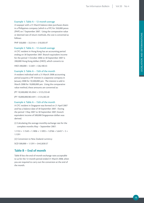#### Example 1: Table A – 12-month average

A taxpayer with a 31 March balance date purchases shares in a Philippines company (which is a FIF) for 350,000 pesos (PHP) on 7 September 2007. Using the comparative value or deemed rate of return methods, the cost is converted as follows:

PHP 350,000  $\div$  33.3144 = \$10,505.97

#### Example 2: Table A – 12-month average

A CFC resident in Hong Kong has an accounting period ending on 30 September 2007. Branch equivalent income for the period 1 October 2006 to 30 September 2007 is 200,000 Hong Kong dollars (HKD), which converts to:

 $HKD 200,000 \div 5.5401 = $36,100.43$ 

#### Example 3: Table A – 15th of the month

A resident individual with a 31 March 2008 accounting period acquires a FIF interest in a Japanese company in January 2008 for 10,500,000 yen. The interest is sold in March 2008 for 10,000,000 yen. Using the comparative value method, these amounts are converted as:

JPY 10,500,000/ 85.2042 = \$123,233.40

JPY 10,000,000/80.4491 = \$124,302.20

#### Example 4: Table A – 15th of the month

A CFC resident in Singapore was formed on 21 April 2007 and has a balance date of 30 September 2007. During the period 1 May 2007 to 30 September 2007, branch equivalent income of 500,000 Singaporean dollars was derived.

(i) Calculating the average monthly exchange rate for the complete months May – September 2007:

 $1.1153 + 1.1549 + 1.1896 + 1.1093 + 1.0766 = 5.6457 \div 5 =$ 1.1291

(ii) Conversion to New Zealand currency:

 $SGD 500,000 \div 1.1291 = $442.830.57$ 

# **Table B – End of month**

Table B lists the end-of-month exchange rates acceptable to us for the 12-month period ended 31 March 2008, when you are required to carry out the conversion at the end of the month.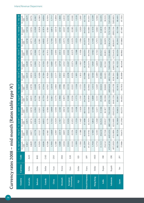| í<br>.<br>V                      |
|----------------------------------|
|                                  |
|                                  |
| mid month (Rates table type $A'$ |
|                                  |
| Ì                                |
|                                  |
|                                  |
| Currency rates 2008              |
|                                  |

|                  |          |                   | $15 - Appr-07$   | 15 - May-07      | $15 - Jun - 07$       | $15 - JuI - 07$  | 15 - Aug-07      | $15 - Sep-07$ | $15 - Oct-07$    | $15 - Nov-07$    | 15 - Dec-07      | $15 - Jan - 08$ | $15 - Feb - 08$  | 15 - Mar-08      |
|------------------|----------|-------------------|------------------|------------------|-----------------------|------------------|------------------|---------------|------------------|------------------|------------------|-----------------|------------------|------------------|
| Country          | Currency | Code              | 12 month<br>rate | 12 month<br>rate | 12 month<br>rate      | 12 month<br>rate | 12 month<br>rate | $12$ month    | 12 month<br>rate | 12 month<br>rate | 12 month<br>rate | $12$ month      | 12 month<br>rate | 12 month<br>rate |
|                  |          |                   | 0.8857           | 0.8860           | 0.8975                | 0.9029           | 0.8712           | 0.8466        | 0.8519           | 0.8489           | 0.8880           | 0.8788          | 0.8746           | 0.8679           |
| Australia        | Dollar   | AUD               | 0.8609           | 0.8671           | 0.8716                | 0.8782           | 0.8819           | 0.8795        | 0.8816           | 0.8770           | 0.8776           | 0.8774          | 0.8764           | 0.8755           |
|                  |          |                   | 0.2783           | 0.2778           | 0.2826                | 0.2963           | 0.2740           | 0.2689        | 0.2819           | 0.2865           | 0.2868           | 0.2964          | 0.2969           | 0.3067           |
| Bahrain          | Dollar   | BHD               | 0.2503           | 0.2537           | 0.2578                | 0.2631           | 0.2662           | 0.2679        | 0.2698           | 0.2747           | 0.2770           | 0.2801          | 0.2830           | 0.2869           |
|                  |          |                   | 0.8390           | 0.8158           | 0.8012                | 0.8243           | 0.7759           | 0.7344        | 0.7504           | 0.7355           | 0.7762           | 0.8032          | 0.7874           | 0.8056           |
| Canada           | Dollar   | CAD               | 0.7588           | 0.7687           | 0.7778                | 0.7883           | 0.7940           | 0.7937        | 0.7928           | 0.7930           | 0.7913           | 0.7910          | 0.7881           | 0.7876           |
|                  |          |                   | 5.7093           | 5.6669           | 5.7232                | 5.9609           | 5.5061           | 5.3610        | 5.6335           | 5.6681           | 5.6350           | 5.7185          | 5.6815           | 5.7717           |
| China            | Yuan     | CNY               | 5.2380           | 5.2907           | 5.3528                | 5.4365           | 5.4776           | 5.4864        | 5.5171           | 5.5792           | 5.5993           | 5.6268          | 5.6510           | 5.6858           |
|                  |          |                   | 4.0688           | 4.0519           | 1927<br>$\frac{1}{4}$ | 4.2383           | 3.9908           | 3.9985        | 3.9457           | 3.8759           | 3.9512           | 3.9396          | 4.0181           | 3.8686           |
| <b>Denmark</b>   | Krone    | DKK               | 3.8336           | 3.8691           | 3.9127                | 3.9619           | 3.9879           | 3.9986        | 3.9853           | 4.0161           | 4.0204           | 4.0175          | 4.0237           | 4.0222           |
| European         |          |                   | 0.5444           | 0.5444           | 0.5636                | 0.5702           | 0.5368           | 0.5133        | 0.5298           | 0.5207           | 0.5302           | 0.5296          | 0.5394           | 0.5193           |
| Community        | Euro     | EUR               | 0.5145           | 0.5194           | 0.5252                | 0.5320           | 0.5356           | 0.5351        | 0.5355           | 0.5374           | 0.5379           | 0.5376          | 0.5385           | 0.5382           |
|                  |          |                   | 1.1999           | 1.1933           | 1.2126                | 1.2438           | 1.1773           | 1.1536        | 1.1891           | 1.1900           | 1.2588           | 1.2223          | 1.2211           | 1.2220           |
| 语                | Dollar   | EID               | 1.1282           | 1.1380           | <b>1487</b><br>급      | 1.1628           | 1.1707           | 1.1721        | 1.1812           | 1.1837           | 1.1930           | 1.1984          | 1.2029           | 1.2087           |
|                  |          |                   | 65.2299          | 65.0562          | 67.4086               | 68.1513          | 64.2149          | 61.3356       | 63.2998          | 62.4198          | 63.0254          | 63.3373         | 64.5423          | 62.1755          |
| French Polynesia | Franc    | XPF               | 61.3767          | 61.9762          | 62.7074               | 63.5366          | 63.9959          | 63.9462       | 63.9851          | 64.2474          | 64.2946          | 64.2568         | 64.3684          | 64.3551          |
|                  |          |                   | 5.7646           | 5.7605           | 5.8642                | 6.1496           | 5.6880           | 5.4513        | 5.8164           | 5.9481           | 5.9582           | 6.1483          | 6.1576           | 6.3299           |
| Hong Kong        | Dollar   | HKD               | 5.1753           | 5.2493           | 5.3360                | 5.4471           | 5.5141           | 5.5401        | 5.5899           | 5.6829           | 5.7333           | 5.7972          | 5.8583           | 5.9363           |
|                  |          |                   | 31.1412          | 29.6418          | 30.2524               | 31.5188          | 29.3598          | 28.5024       | 29.3006          | 29.6461          | 29.9127          | 30.5521         | 31.0019          | 32.6395          |
| India            | Rupee    | $\widetilde{\Xi}$ | 29.6142          | 29.7538          | 29.9227               | 30.1877          | 30.2208          | 30.0683       | 30.0493          | 30.1261          | 30.0815          | 30.0870         | 30.1494          | 30.3535          |
|                  |          |                   | 6724.8150        | 6492.6250        | 6807.4400             | 7103.5900        | 6799.1150        | 6690.6650     | 6852.1950        | 7,038.5400       | 7,130.8800       | 7436.4750       | 7279.7300        | 7,501.0500       |
| Indonesia        | Rupiah   | $\mathbb{R}$      | 6073.3929        | 6155.0896        | 6231.0692             | 6349.2354        | 6440.1238        | 6494.4700     | 6538.3342        | 6,660.7333       | 6,733.6433       | 6828.0017       | 6909.2104        | 7,002.8825       |
|                  |          |                   | 88.1194          | 88.7226          | 92.2068               | 95.8622          | 85.5847          | 82.1812       | 86.6689          | 85.1322          | 86.5354          | 85.2042         | 85.1709          | 80.4491          |
| Japan            | Yen      | JΡY               | 77.9984          | 79.6473          | 81.3760               | 83.3751          | 84.4033          | 84.7833       | 85.0989          | 86.4548          | 86.9062          | 87.0860         | 87.1987          | 87.1932          |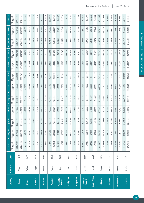|              |          |             | $15 - Appr-07$   | $15 - May - 07$  | $\overline{C}$<br>$15 - JL$ | $15 - ju1 - 07$ | $15 - Aug - 07$ | $15 - Sep-07$ | $15 - Oct-07$ | $15 - Nov-07$    | $15 - Dec-07$ | $15 - Jan - 08$ | $15 - Feb-08$    | 15 - Mar-08 |
|--------------|----------|-------------|------------------|------------------|-----------------------------|-----------------|-----------------|---------------|---------------|------------------|---------------|-----------------|------------------|-------------|
| Country      | Currency | Code        | 12 month<br>rate | 12 month<br>rate | 12 month<br>rate            | $12$ month      | $12$ month      | $12$ month    | $12$ month    | 12 month<br>rate | $12$ month    | $12$ month      | 12 month<br>rate | $12$ month  |
|              |          |             | 686.7800         | 681.4550         | 1.6600<br>697.              | 721.7300        | 677.3250        | 661.9650      | 689.5250      | 697.0100         | 710.7100      | 738.9500        | 746.8450         | 811.5100    |
| Korea        | Won      | KOR         | 628.1113         | 636.0438         | 644.3133                    | 655.2167        | 661.1375        | 663.5425      | 668.4963      | 677.2017         | 683.5279      | 690.9925        | 698.912          | 712.0138    |
|              |          |             | 0.2132           | 0.2130           | .2166<br>$\circ$            | 0.2272          | 0.2050          | 0.2003        | 0.2093        | 0.2105           | 0.2092        | 0.2145          | 0.2159           | 0.2189      |
| Kuwait       | Dollar   | KWD         | 0.1920           | 0.1945           | 0.1976                      | 0.2017          | 0.2036          | 0.2044        | 0.2054        | 0.2084           | 0.2092        | 0.2105          | 0.2118           | 0.2134      |
|              |          |             | 2.5473           | 2.5124           | .6038<br>$\mathbf 2$        | 2.7157          | 2.5308          | 2.4866        | 2.5649        | 2.5564           | 2.5403        | 2.5679          | 2.5589           | 2.5775      |
| Malaysia     | Ringgit  | <b>MYR</b>  | 2.3892           | 2.4110           | 4375<br>$\sim$              | 2.4743          | 2.4925          | 2.4971        | 2.5061        | 2.5262           | 2.5339        | 2.5453          | 2.5557           | 2.5679      |
|              |          |             | 4.4254           | 4.4548           | 5650<br>4                   | 4.5102          | 4.2837          | 4.0120        | 4.0532        | 4.1291           | 4.2215        | 4.1488          | 4.2699           | 4.1527      |
| Norway       | Krone    | NOK         | 4.0978           | 4.1549           | 4.2136                      | 4.2675          | 4.3679          | 4.3438        | 4.3202        | 4.3171           | 4.3131        | 4.2884          | 4.2873           | 4.2810      |
|              |          |             | 44.5202          | 44.4288          | .2343<br>45.                | 47.3828         | 43.7453         | 42.9748       | 45.2101       | 46.3244          | 46.3589       | 48.9260         | 49.2993          | 50.8077     |
| Pakistan     | Rupee    | PKR         | 40.0053          | 40.5828          | .2566<br>$\overline{+}$     | 42.1094         | 42.6183         | 42.8924       | 43.2375       | 44.0336          | 44.4203       | 45.0155         | 45.6291          | 46.3948     |
| Papua New    |          |             | 2.1691           | 2.1728           | .2148<br>$\mathbf 2$        | 2.3561          | 2.1294          | 2.0582        | 2.1534        | 2.1108           | 2.0912        | 2.1531          | 2.1684           | 2.2207      |
| Guinea       | Kina     | PGK         | 1.9766           | 1.9989           | .0261<br>$\mathbf 2$        | 2.0669          | 2.0874          | 2.0951        | 2.2984        | 2.1317           | 2.1367        | 2.1461          | 2.1568           | 2.1720      |
|              |          |             | 35.0597          | 34.3998          | .6833<br>34                 | 35.8652         | 33.1356         | 32.7471       | 33.5485       | 32.3914          | 31.0294       | 31.5487         | 31.9955          | 33.3229     |
| Phillipines  | Peso     | $rac{P}{P}$ | 33.1649          | 33.3526          | 33.5109                     | 33.8216         | 33.9226         | 33.9007       | 33.8117       | 33.9622          | 33.5698       | 33.3972         | 33.2964          | 33.3144     |
|              | Dollar   | SGD         | 1.1162           | 1.1153           | 1.1549                      | 1.1896          | 1.1093          | 1.0766        | 1.1157        | 1.1026           | 1.1068        | 1.1248          | 1.1171           | 1.1182      |
| Singapore    |          |             | 1.0339           | 1.0451           | .0589                       | 1.0763          | 1.0861          | 1.0891        | 1.0926        | 1.1033           | 1.1073        | 1.1125          | 1.1169           | 1.1220      |
| Solomon      |          | SBD         | 5.3856           | 5.3618           | 4462<br>S                   | 5.6742          | 5.2488          | 5.2421        | 5.4844        | 5.5327           | 5.4415        | 5.7783          | 5.9671           | 6.1368      |
| Islands      | Dollar   |             | 4.9025           | 4.9546           | 5.0160                      | 5.0993          | 5.1457          | 5.1695        | 5.2819        | 5.2872           | 5.3520        | 5.3961          | 5.4767           | 5.5690      |
|              |          |             | 5.2945           | 5.1035           | 5.3825                      | 5.4708          | 5.3287          | 5.0985        | 5.1543        | 5.0167           | 5.2515        | 5.3131          | 6.0642           | 6.4465      |
| South Africa | Rand     | <b>ZAR</b>  | 4.7266           | 4.8268           | .9198<br>₹                  | 5.0039          | 5.0887          | 5.1054        | 5.1217        | 5.1517           | 5.1895        | 5.2174          | 5.3068           | 5.4165      |
|              |          |             | 80.1327          | 81.4902          | .9234<br>82                 | 87.5668         | 81.0439         | 80.2357       | 84.7504       | 84.1019          | 82.7747       | 84.9628         | 84.7099          | 87.2186     |
| Sri Lanka    | Rupee    | LKR         | 70.3354          | 71.7654          | .3480<br>73                 | 75.3014         | 76.6352         | 77.6766       | 78.5431       | 80.3425          | 81.0580       | 81.9347         | 82.7296          | 83.7343     |
|              |          |             | 5.0716           | 5.0115           | .3079<br>S                  | 5.2206          | 5.0065          | 4.7550        | 4.8832        | 4.7985           | 4.9776        | 4.9627          | 5.0322           | 4.9037      |
| Sweden       | Krona    | <b>SEK</b>  | 4.7296           | 4.7682           | .8308<br>ч                  | 4.8924          | 4.9324          | 4.9289        | 4.9203        | 4.9510           | 4.9715        | 4.9808          | 4.9971           | 5.0020      |
| Switzerland  |          | 告           | 0.8947           | 0.8987           | .9349<br>$\circ$            | 0.9450          | 0.8805          | 0.8514        | 0.8793        | 0.8580           | 0.8812        | 0.8608          | 0.8661           | 0.8124      |
|              | Franc    |             | 0.9024           | 0.9144           | .9286                       | 0.9437          | 0.9520          | 0.9541        | 0.8718        | 0.9641           | 0.9679        | 0.9679          | 0.8857           | 0.8836      |
|              | Dollar   | TAI         | 24.4750          | 24.5700          | .8350<br>24                 | 25.8200         | 23.9600         | 23.6000       | 24.5650       | 24.6450          | 24.7450       | 25.4950         | 25.0300          | 25.0050     |
| Taiwan       |          |             | 21.7808          | 22.1833          | 22.5633                     | 23.0279         | 23.3113         | 23.4642       | 23.6067       | 24.0017          | 24.1913       | 24.4300         | 24.6063          | 24.7883     |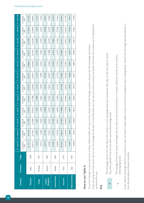|                      |                 |      |                  | 15 - Apr-07   15 - May-07 | $\nu - 07$<br>$15 -$ | $15 - JuI - 07$  | $15 - Aug - 07$  | $15 - 5ep-07$    | $15 - Oct - 07$  | 15 - Nov-07      | 15 - Dec-07      | $15 - Jan - 08$  | $15 - Feb - 08$  | 15 - Mar-08      |
|----------------------|-----------------|------|------------------|---------------------------|----------------------|------------------|------------------|------------------|------------------|------------------|------------------|------------------|------------------|------------------|
| Country              | <b>Currency</b> | Code | 12 month<br>rate | 12 month<br>rate          | 12 month<br>rate     | 12 month<br>rate | 12 month<br>rate | 12 month<br>rate | 12 month<br>rate | 12 month<br>rate | 12 month<br>rate | 12 month<br>rate | 12 month<br>rate | 12 month<br>rate |
|                      |                 |      | 23.7157          | 24.3348                   | 24.1085              | 23.8209          | 22.9442          | 22.6156          | 23.5973          | 23.8884          | 22.8215          | 23.2090          | 25.0540          | 25.7056          |
| Thailand             | <b>Baht</b>     | THB  | 23.6714          | 23.7407                   | 23.7809              | 23.8253          | 23.7998          | 23.6495          | 23.6674          | 23.6490          | 23.5442          | 23.4246          | 23.6048          | 23.8694          |
|                      |                 |      | 1.4424           | 1.4397                    | .4601                | 1.4907           | 1.4080           | 1.4223           | 1.4730           | 1.4253           | 1.4285           | 1.4666           | 1.4407           | 1.4437           |
| Tonga                | Pa'anga         | TOP  | 1.3313           | 1.3466                    | 1.3634               | 1.3836           | 1.3961           | 1.4034           | 1.4093           | 1.4262           | 1.4303           | 1.4355           | 1.4407           | 1.4476           |
| United               |                 |      | 0.3719           | 0.3728                    | 0.3810               | 0.3868           | 0.3640           | 0.3553           | 0.3700           | 0.3714           | 0.3791           | 0.4025           | 0.4008           | 0.4031           |
| Kingdom              | Pound           | GBP  | 0.3482           | 0.3516                    | 0.3553               | 0.3594           | 0.3620           | 0.3623           | 0.3623           | 0.3665           | 0.3688           | 0.3730           | 0.3769           | 0.3808           |
|                      |                 |      | 0.7381           | 0.7377                    | 1.7505               | 0.7867           | 0.7274           | 0.7131           | 0.7499           | 0.7640           | 0.7653           | 0.7882           | 0.7898           | 0.8139           |
| <b>United States</b> | Dollar          | USD  | 0.6649           | 0.6740                    | 0.6847               | 0.6987           | 0.7069           | 0.7113           | 0.7170           | 0.7316           | 0.7379           | 0.7460           | 0.7540           | 0.7643           |
|                      |                 |      | 76.7021          | 74.8213                   | 76.1899              | 77.9888          | 70.8117          | 70.1409          | 71.8682          | 71.1343          | 72.9869          | 75.3557          | 75.1619          | 76.0944          |
| Vanuatu              | Vatu            | NNN  | 71.8748          | 72.4049                   | 9998<br>2            | 73.7890          | 73.9384          | 73.6857          | 73.9528          | 73.7001          | 73.7357          | 73.8742          | 74.0161          | 74.2728          |
|                      |                 |      | 1.9487           | 1.8840                    | 1.9222               | 1.9877           | 1.8341           | 1.8653           | 1.8968           | 1.8854           | 1.8670           | 1.9592           | 1.9524           | 1.9441           |
| Western Samoa        | Tala            | WST  | 1.8208           | 1.8237                    | .8396                | 1.8612           | 1.8697           | 1.8723           | 1.8817           | 1.8897           | 1.8905           | 1.8973           | 1.9044           | 1.9165           |

# How to use Table A **How to use Table A**

To convert foreign currency amounts to New Zealand dollars for any country listed, divide the foreign currency amount by the exchange rate shown. To convert foreign currency amounts to New Zealand dollars for any country listed, divide the foreign currency amount by the exchange rate shown.

If you are using the mid month rate (ie not the average for the last 12 months) then you can use our online currency converter and have the income and tax deductions If you are using the mid month rate (ie not the average for the last 12 months) then you can use our online currency converter and have the income and tax deductions converted for you. converted for you.

# **Key**



 $\geq$ 

The exchange rate on the 15th day of the month, or if no exchange rates were quoted on that day, on the next day on which The exchange rate on the 15th day of the month, or if no exchange rates were quoted on that day, on the next day on which they were quoted. (Top row for each country; blue background) they were quoted. (Top row for each country; blue background)

The average of the mid-month exchange rates for that month and the previous 11 months. (Bottom row for each country; The average of the mid-month exchange rates for that month and the previous 11 months. (Bottom row for each country;<br>white background) white background) If you need an exchange rate for a country or a day not listed in these tables, contact one of New Zealand's major trading banks. Round the exchange rate calculations to If you need an exchange rate for a country or a day not listed in these tables, contact one of New Zealand's major trading banks. Round the exchange rate calculations to four decimal places wherever possible. four decimal places wherever possible.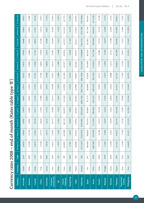Currency rates 2008 - end of month (Rates table type 'B') **Currency rates 2008 – end of month (Rates table type 'B')**

| Country               | <b>Currency</b> | Code               | 30-Apr-07 | 31-May-07 | $30$ -Jun-07             | $31$ -Jul-07 | $31 - \text{Aug-07}$ | 30-Sep-07 | $31-Oct-07$ | 30-Nov-07 | $31 - Dec-07$ | $31$ -Jan-08 | 28-Feb-08 | 31-Mar-08 |
|-----------------------|-----------------|--------------------|-----------|-----------|--------------------------|--------------|----------------------|-----------|-------------|-----------|---------------|--------------|-----------|-----------|
| Australia             | Dollar          | <b>AUD</b>         | 0.8930    | 0.8870    | 0.9082                   | 0.8959       | 0.8605               | 0.8519    | 0.8323      | 0.8323    | 0.8489        | 0.8880       | 0.8603    | 0.8672    |
| <b>Bahrain</b>        | Dollar          | <b>GHB</b>         | 0.2789    | 0.2746    | 0.2895                   | 0.2881       | 0.2637               | 0.2819    | 0.2883      | 0.2885    | 0.2868        | 0.2964       | 0.3076    | 0.2989    |
| Canada                | Dollar          | CAD                | 0.8270    | 0.7825    | 0.8140                   | 0.8171       | 0.7418               | 0.7504    | 0.7295      | 0.7685    | 0.7762        | 0.8032       | 0.7941    | 0.8128    |
| China                 | Yuan            | <b>CNY</b>         | 5.7258    | 5.5772    | 5.8543                   | 5.7924       | 5.2908               | 5.6335    | 5.7286      | 5.6855    | 5.6350        | 5.7185       | 5.8133    | 5.5815    |
| <b>Denmark</b>        | Krone           | <b>DKK</b>         | 4.0420    | 4.0412    | 4.2515                   | 4.1515       | 3.8263               | 3.9457    | 3.9488      | 3.8836    | 3.9512        | 3.9396       | 3.9941    | 3.7423    |
| European<br>Community | Euro            | EUR                | 0.5431    | 0.5430    | 0.5717                   | 0.5585       | 0.5143               | 0.5298    | 0.5301      | 0.5214    | 0.5302        | 0.5296       | 0.5365    | 0.5033    |
| 语                     | Dollar          | FJD                | 1.1979    | 1.1932    | 1.2324                   | 1.2222       | 1.2045               | 1.1891    | 1.1889      | 1.1983    | 1.2588        | 1.2223       | 1.2332    | 1.2075    |
| Polynesia<br>French   | Franc           | XPF                | 64.9091   | 64.9589   | 68.2149                  | 66.8270      | 61.4948              | 63.2998   | 63.4596     | 62.2677   | 63.0254       | 63.3373      | 64.5423   | 62.1755   |
| Hong Kong             | Dollar          | HKD                | 5.7981    | 5.6937    | 6.0049                   | 5.9852       | 5.4673               | 5.8164    | 5.9310      | 5.9945    | 5.9582        | 6.1483       | 6.1576    | 6.3299    |
| India                 | Rupee           | $\widetilde{\leq}$ | 30.0006   | 29.3342   | 1.0016<br>$\overline{3}$ | 30.5691      | 28.5046              | 29.3006   | 29.8001     | 30.2064   | 29.9127       | 30.5521      | 31.0019   | 32.6395   |
| Indonesia             | Rupiah          | $\mathbb{R}$       | 6731.3550 | 6448.2650 | 6978.4000                | 7050.2050    | 6606.1500            | 6852.1950 | 6981.2050   | 7224.4050 | 7130.8800     | 7436.4750    | 7279.7300 | 7501.0500 |
| Japan                 | Yen             | λdĺ                | 88.4460   | 88.6826   | 94.6144                  | 90.9607      | 81.1774              | 86.6689   | 87.8292     | 84.4098   | 86.5354       | 85.2042      | 85.1709   | 80.4491   |
| Korea                 | Won             | KOR                | 688.7000  | 678.9200  | 712.2450                 | 706.5850     | 659.2350             | 689.5250  | 695.1650    | 714.9250  | 710.7100      | 738.9500     | 746.8450  | 811.5100  |
| Kuwait                | Dollar          | KWD                | 0.2139    | 0.2106    | 0.2219                   | 0.2158       | 0.1970               | 0.2093    | 0.2121      | 0.2108    | 0.2092        | 0.2145       | 0.2159    | 0.2189    |
| Malaysia              | Ringgit         | <b>MYR</b>         | 2.5392    | 2.4835    | 2.6679                   | 2.6534       | 2.4595               | 2.5649    | 2.5673      | 2.5996    | 2.5403        | 2.5679       | 2.5589    | 2.5775    |
| Norway                | Krone           | NOK                | 4.4100    | 4.4221    | 4.5395                   | 4.4657       | 4.0829               | 4.0532    | 4.0880      | 4.2317    | 4.2215        | 4.1488       | 4.2699    | 4.1527    |
| Pakistan              | Rupee           | <b>PKR</b>         | 44.7233   | 44.0537   | 46.2419                  | 46.0166      | 42.3181              | 45.2101   | 46.1527     | 46.6823   | 46.3589       | 48.9260      | 49.2993   | 50.8077   |
| Papua New<br>Guinea   | Kina            | PGK                | 2.1949    | 2.1536    | 2.2735                   | 2.2281       | 2.0268               | 2.1534    | 2.1487      | 2.1102    | 2.0912        | 2.1531       | 2.1684    | 2.2207    |
| Philippines           | Peso            | 운                  | 34.8469   | 33.4272   | 35.3333                  | 34.5263      | 32.5546              | 33.5485   | 33.2075     | 32.4520   | 31.0294       | 31.5487      | 31.9955   | 33.3229   |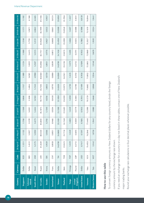| Country              | Currency | Code       | 30-Apr-07 | 31-May-07 | $un-07$<br>$30 -$ | $31 -$ Jul-07 | $31 - Aug - 07$ | 30-Sep-07 | $31-Cct-07$ | 30-Nov-07 | $31 - Dec-O7$ | $31$ -Jan-08 | 28-Feb-08 | 31-Mar-08 |
|----------------------|----------|------------|-----------|-----------|-------------------|---------------|-----------------|-----------|-------------|-----------|---------------|--------------|-----------|-----------|
| Singapore            | Dollar   | SGD        | 1.1211    | 1.1132    | 1.1766            | 1.1568        | 1.0666          | 1.1157    | 1.1089      | 1.1124    | 1.1068        | 1.1248       | 1.1171    | 1.1182    |
| Solomon<br>Islands   | Dollar   | <b>GBD</b> | 5.4512    | 5.3027    | 5199              | 5.6301        | 5.1606          | 5.4844    | 5.6581      | 5.5022    | 5.4415        | 5.7783       | 5.9671    | 6.1368    |
| South Africa         | Rand     | ZAR        | 5.2175    | 5.2050    | 6.4273<br>m       | 5.4444        | 5.0163          | 5.1543    | 4.9988      | 5.2507    | 5.2515        | 5.3131       | 6.0642    | 6.4465    |
| Sri Lanka            | Rupee    | LKR        | 81.2639   | 80.5530   | 85.0692           | 85.1875       | 78.7710         | 84.7504   | 84.8360     | 84,6966   | 82.7747       | 84.9628      | 84.7099   | 87.2186   |
| Sweden               | Krona    | <b>SEK</b> | 4.9559    | 5.0506    | 5.2782            | 5.1340        | 4.8256          | 4.8832    | 4.8739      | 4.8931    | 4.9776        | 4.9627       | 5.0322    | 4.9037    |
| Switzerland          | Franc    | 告          | 0.8928    | 0.8931    | 1.9466            | 0.9204        | 0.8438          | 0.8793    | 0.8888      | 0.8599    | 0.8812        | 0.8608       | 0.8661    | 0.8124    |
| Taiwan               | Dollar   | TAI        | 24.6700   | 24.0600   | 25.2450           | 25.1300       | 23.1850         | 24.5650   | 24.8500     | 24.8700   | 24.7450       | 25.4950      | 25.0300   | 25.0050   |
| Thailand             | Baht     | THB        | 23.9413   | 23.7116   | 24.1548           | 22.5483       | 22.6590         | 23.5973   | 24.0161     | 23.5126   | 22.8215       | 23.2090      | 25.0540   | 25.7056   |
| Tonga                | Pa'anga  | TOP        | 1.4519    | 1.4349    | .4683             | 1.4249        | 1.4038          | 1.4730    | 1.4435      | 1.4379    | 1.4285        | 1.4666       | 1.4407    | 1.4437    |
| Kingdom<br>United    | Pound    | GBP        | 0.3712    | 0.3693    | 0.3839            | 0.3779        | 0.3484          | 0.3700    | 0.3702      | 0.3732    | 0.3791        | 0.4025       | 0.4008    | 0.4031    |
| <b>United States</b> | Dollar   | <b>USD</b> | 0.7417    | 0.7297    | 0.7685            | 0.7653        | 0.7015          | 0.7499    | 0.7656      | 0.7699    | 0.7653        | 0.7882       | 0.7898    | 0.8139    |
| Vanuatu              | Vatu     | NUV        | 75.4933   | 76.2846   | .4440<br>F        | 75.2090       | 70.5729         | 71.8682   | 71.0052     | 72.5803   | 72.9869       | 75.3557      | 75.1619   | 76.0944   |
| Western Samoa        | Tala     | WST        | 1.9142    | 1.8750    | 1.9542            | 1.9080        | 1.8466          | 1.8968    | 1.9244      | 1.9148    | 1.8670        | 1.9592       | 1.9524    | 1.9441    |

# How to use this table **How to use this table**

To convert foreign currency amounts to New Zealand dollars for any country listed, divide the foreign To convert foreign currency amounts to New Zealand dollars for any country listed, divide the foreign

currency amount by the exchange rate shown. currency amount by the exchange rate shown. If you need an exchange rate for a country or a day not listed in these tables, contact one of New Zealand's If you need an exchange rate for a country or a day not listed in these tables, contact one of New Zealand's

major trading banks. major trading banks.

Round your exchange rate calculations to four decimal places wherever possible. Round your exchange rate calculations to four decimal places wherever possible.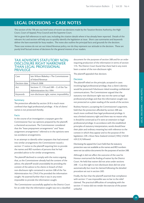# **LEGAL DECISIONS – CASE NOTES**

This section of the TIB sets out brief notes of recent tax decisions made by the Taxation Review Authority, the High Court, Court of Appeal, Privy Council and the Supreme Court.

We've given full references to each case, including the citation details where it has already been reported. Details of the relevant Act and section will help you to quickly identify the legislation at issue. Short case summaries and keywords deliver the bare essentials for busy readers. The notes also outline the principal facts and grounds for the decision.

These case reviews do not set out Inland Revenue policy, nor do they represent our attitude to the decision. These are purely brief factual reviews of decisions for the general interest of our readers.

## TAX ADVISOR'S STATUTORY NON-DISCLOSURE RIGHT NARROWER THAN LEGAL PROFESSIONAL PRIVILEGE

| Case                         | Iain Wilson Blakeley v The Commissioner     |
|------------------------------|---------------------------------------------|
|                              | of Inland Revenue                           |
| Decision date   3 March 2008 |                                             |
| Act                          | Sections 17, 17A and 20B - G of the Tax     |
|                              | Administration Act 1994                     |
| <b>Keywords</b>              | non-disclosure right, waiver, impossibility |

#### Summary

The protection afforded by section 20 B is much more confined than legal professional privilege. A list of clients' names is not protected thereby.

#### Facts

In the course of an investigation a taxpayer gave the Commissioner four tax opinions prepared by the plaintiff, a chartered accountant. The Commissioner considered that the "lease prepayment arrangements" and "lease assignment arrangements" referred to in the opinions were tax avoidance arrangements.

In an attempt to identify other taxpayers that had entered into similar arrangements the Commissioner issued a section 17 notice to the plaintiff requiring him to provide the names and IRD numbers of persons that he had provided advice to for similar arrangements.

The plaintiff declined to comply with the notice arguing that, as the Commissioner already had the content of the advice, the plaintiff would unavoidably be providing the content of the advice to his clients in breach of their non-disclosure right contained in section 20B of the Tax Administration Act (TAA) if he provided the information sought. He asserted further that it was in any event impossible to provide the information sought.

The Commissioner successfully applied to the District Court for an order that the information sought was not a classified

document for the purposes of section 20B and for an order requiring production of the information in terms of section 17A. The District Court found that there had in any event been a waiver of the non-disclosure right.

The plaintiff appealed that decision.

#### Decision

The plaintiff relied on the principle, accepted in cases involving legal professional privilege, that a client's identity would be protected if disclosure risked revealing confidential communications. The Commissioner argued that the statutory non-disclosure right was not the same as legal professional privilege and that the information sought was not protected on a plain reading of the words of the section.

Rodney Hansen J, accepting the Commissioner's argument, held that the protection afforded by section 20B was much more confined than legal professional privilege. It was a limited statutory right and there was no reason why it should be construed as if it were an extension to legal professional privilege. In accordance with the established principles of statutory interpretation, words should bear their plain and ordinary meaning but with reference to the context in which they appear and to the purpose of the legislation. CIR v Alcan New Zealand Limited [1994] 3 NZLR 439 (CA) followed.

Dismissing the appeal the Court held that the statutory protection was not available as the names and IRD numbers were not tax advice documents for the purposes of section 20B.

Although it did not affect the outcome of the case his Honour overturned the finding of waiver by the District Court. He held that waiver did not arise under sections 20B – G as the right to non-disclosure does did not arise automatically but must be claimed following the detailed procedure set out in section 20D.

Finally, the fact that the plaintiff asserted that compliance with section 17 was impossible was no bar to the relief claimed. The practical difficulties of complying with the section 17 notice did not render the exercise of the power unlawful.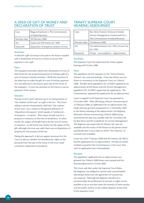# A DEED OF GIFT OF MONEY AND DECLARATION OF TRUST

| Case          | Begg and Jacksons v The Commissioner<br>of Inland Revenue |
|---------------|-----------------------------------------------------------|
| Decision date | 28 February 2008                                          |
| Act           | Estate and Gift Duties Act 1968                           |
| Keywords      | disposition of property, creation of trust                |

#### Summary

A deed for a gift of money to be paid in the future coupled with a declaration of trust for a home to secure that payment is not a gift.

#### Facts

The taxpayers executed a deed and a declaration of trust of their home for the purported purpose of making a gift of a sum of money to family members. While the intention of the deed was to make the gift of a sum of money, payment of it was deferred to the future upon sale of the home of the taxpayers. A trust was declared on the home to secure payment of the money.

#### Decision

The key to the Court's decision lay in its interpretation of "the creation of the trust" as a gift in the Act. The Court, taking a narrow interpretation, held that "the creation of the trust" was a subset to the general definition of "disposition of property" which speaks of "settlement ... of property ... in equity". That meant the gift was for a property in existence at the time of settlement. In other words, the subject of the gift had to be the sum of money in existence. As the home was clearly not the subject of the gift, although the trust was valid, there was no disposition of property for the purpose of the Act.

Taking this approach, it did not appear necessary for the Court to discuss whether the beneficiaries' rights to the proceeds from the sale of the home in the trust could constitute a disposition of property.

## TRINITY SUPREME COURT HEARING ADJOURNED

| Case          | Ben Nevis Forestry Ventures Limited,    |  |
|---------------|-----------------------------------------|--|
|               | Accent Management Limited and Ors v     |  |
|               | The Commissioner of Inland Revenue      |  |
| Decision date | 19 February 2008                        |  |
| Act           | Tax Administration Act 1994, Income Tax |  |
|               | Act 1994                                |  |
| Kevwords      | Trinity – tax avoidance – adjournment   |  |

#### Summary

The Supreme Court has adjourned the Trinity appeal hearing until 23 June 2008.

#### Facts

The appellants are the taxpayers in the "Trinity forestry scheme" test case proceedings. A five-day fixture was set down to commence in the Supreme Court on 3 March 2008. The Ben Nevis appellants (SC 43/2007) applied for an adjournment of the fixture and the Accent Management appellants (SC 44/2007) supported the application. The Commissioner opposed the application for an adjournment.

Leave to appeal to the Supreme Court was granted on 9 October 2007. After allocating a fixture commencing on 12 February 2008, an application for an adjournment was made and was granted unopposed on 17 December 2007. In the Notice advising of the adjournment, the Registrar allocated a fixture commencing 3 March 2008 having ascertained the date was suitable with Mr Carruthers QC for Ben Nevis and Mr Gudsell QC for Accent Management. The Registrar was aware that Mr Stewart QC was not available and the notice of the fixture to the parties noted specifically that it was a date on which "the majority" of counsels were available.

It was not until 17 January 2008 that Mr Stewart QC filed a further application for an adjournment. He had not earlier notified counsel for the Commissioner or the Court that such an application was contemplated.

#### Decision

The appellants' application for an adjournment was granted, the 3 March 2008 fixture was vacated and the hearing adjourned to 23 June 2008.

The Court said that under the Supreme Court Rules, the Registrar was obliged to consult with counsel before allocating a fixture but the agreement of counsel was not required. Although the Registrar should try to accommodate the preferences of counsel, it might not be possible to do so and also meet the interests of other parties and the public interest in the orderly dispatch of the work of the Supreme Court.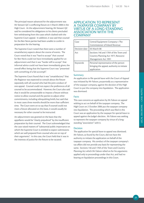The principal reason advanced for the adjournment was Mr Stewart QC's conflicting fixture on 3 March 2008 in the High Court. At the adjournment hearing, Mr Stewart QC said he considered his obligations to his clients precluded him withdrawing from the cases which clashed with the Supreme Court appeal. In addition, it was said that counsel for the Ben Nevis parties had been unable to confer in preparation for the hearing.

The Supreme Court noted that there were a number of unsatisfactory aspects about the course of events. The Court noted that it was "hard to accept" that counsel for Ben Nevis could not have immediately applied for an adjournment and that it was "harder still to accept" that informal advice could not have been immediately given; the overall effect being that the Supreme Court was "presented with something of a fait accompli".

The Supreme Court found that it was "unsatisfactory" that the Registrar was expected to consult about the fixture separately with all counsel who had the joint conduct of one appeal. Counsel could not expect the preferences of all counsel to be accommodated. However, the Court also said that it would be unreasonable to impose a fixture without notice to allow counsel and the parties to adjust other commitments, including relinquishing briefs; but said that in most cases three months should be more than sufficient time. The Court went on to say that if counsel could not meet a fixture allocated on this basis, it would usually be necessary for other counsel to be instructed.

An adjournment was granted on the basis that the appellants would be "clearly prejudiced" by the insufficient preparation by their counsel. The Court acknowledged that the case raised matters of "substantial public importance on which the Supreme Court is entitled to expect submissions which are well prepared from counsel who are on top of their arguments". In this case, the Court held that it was in the interests of justice for the fixture to be vacated.

## APPLICATION TO REPRESENT A TAXPAYER COMPANY BY VIRTUE OF A LONG-STANDING ASSOCIATION WITH THE **COMPANY**

| Case          | Central Equipment Company v The<br>Commissioner of Inland Revenue                                   |  |
|---------------|-----------------------------------------------------------------------------------------------------|--|
| Decision date | 03 March 08                                                                                         |  |
| Act           | Sections 146 and 170A of the Town and<br>Country Planning Act 1977, Resource<br>Management Act 1991 |  |
| Keywords      | Personal representative of the person<br>bringing the appeal, authority to initiate<br>application  |  |

#### Summary

An application to file special leave with the Court of Appeal was initiated by Mr Faloon, purportedly as a representative of the taxpayer company, against the decision of the High Court to put the company into liquidation. The application was dismissed.

#### Facts

This case concerns an application by Mr Faloon on appeal wishing to act on behalf of the taxpayer company. The High Court on 2 October 2006 put the taxpayer company into liquidation. The proceeding which was filed in this Court was an application by the taxpayer for special leave to appeal against the Judge's decision. Mr Faloon was seeking to represent the taxpayer company by virtue of a longstanding "association" with it.

#### Decision

The application for special leave to appeal was dismissed. Mr Faloon, as found by the Court, did not have the authority to initiate the application on behalf of the taxpayer company. His conduct of the taxpayer company's tax affairs did not provide any basis for representing the same. Sections 146 and 170A of the Town and Country Planning Act which Mr Faloon relied on for his arguments applied only to proceedings under that Act, and had no bearing on liquidation proceedings in this Court.